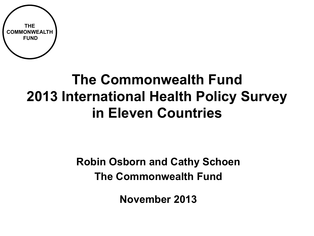

# **The Commonwealth Fund 2013 International Health Policy Survey in Eleven Countries**

### **Robin Osborn and Cathy Schoen The Commonwealth Fund**

**November 2013**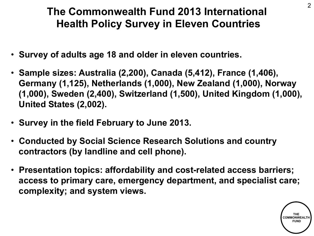### **The Commonwealth Fund 2013 International Health Policy Survey in Eleven Countries**

- **Survey of adults age 18 and older in eleven countries.**
- **Sample sizes: Australia (2,200), Canada (5,412), France (1,406), Germany (1,125), Netherlands (1,000), New Zealand (1,000), Norway (1,000), Sweden (2,400), Switzerland (1,500), United Kingdom (1,000), United States (2,002).**
- **Survey in the field February to June 2013.**
- **Conducted by Social Science Research Solutions and country contractors (by landline and cell phone).**
- **Presentation topics: affordability and cost-related access barriers; access to primary care, emergency department, and specialist care; complexity; and system views.**

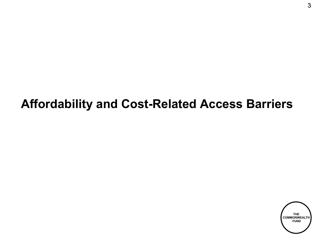# **Affordability and Cost-Related Access Barriers**

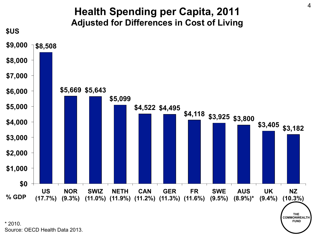

Source: OECD Health Data 2013.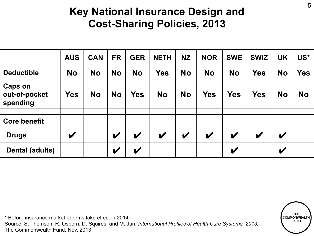### **Key National Insurance Design and Cost-Sharing Policies, 2013**

|                                             | <b>AUS</b> | <b>CAN</b> | <b>FR</b>                  | <b>GER</b>                 | <b>NETH</b> | <b>NZ</b>   | <b>NOR</b>   | <b>SWE</b>   | <b>SWIZ</b> | <b>UK</b>                  | US*        |
|---------------------------------------------|------------|------------|----------------------------|----------------------------|-------------|-------------|--------------|--------------|-------------|----------------------------|------------|
| <b>Deductible</b>                           | <b>No</b>  | <b>No</b>  | <b>No</b>                  | <b>No</b>                  | <b>Yes</b>  | <b>No</b>   | <b>No</b>    | <b>No</b>    | <b>Yes</b>  | <b>No</b>                  | <b>Yes</b> |
| <b>Caps on</b><br>out-of-pocket<br>spending | <b>Yes</b> | <b>No</b>  | <b>No</b>                  | <b>Yes</b>                 | <b>No</b>   | <b>No</b>   | <b>Yes</b>   | <b>Yes</b>   | <b>Yes</b>  | <b>No</b>                  | <b>No</b>  |
| <b>Core benefit</b>                         |            |            |                            |                            |             |             |              |              |             |                            |            |
| <b>Drugs</b>                                | V          |            | V                          | V                          | V           | $\mathbf v$ | $\checkmark$ | $\mathbf v$  | V           | $\checkmark$               |            |
| Dental (adults)                             |            |            | $\boldsymbol{\mathcal{U}}$ | $\boldsymbol{\mathscr{C}}$ |             |             |              | $\checkmark$ |             | $\boldsymbol{\mathcal{U}}$ |            |

\* Before insurance market reforms take effect in 2014. Source: S. Thomson, R. Osborn, D. Squires, and M. Jun, *International Profiles of Health Care Systems, 2013,* The Commonwealth Fund, Nov. 2013.

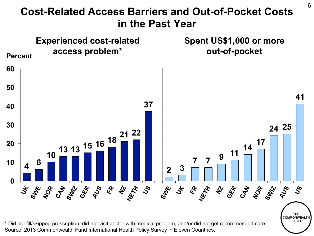

Source: 2013 Commonwealth Fund International Health Policy Survey in Eleven Countries. \* Did not fill/skipped prescription, did not visit doctor with medical problem, and/or did not get recommended care.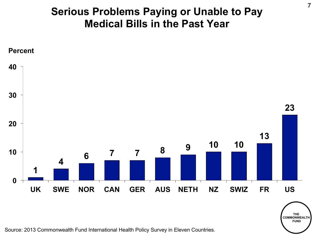#### **Serious Problems Paying or Unable to Pay Medical Bills in the Past Year**



Source: 2013 Commonwealth Fund International Health Policy Survey in Eleven Countries.

**THE COMMONWEALTH FUND**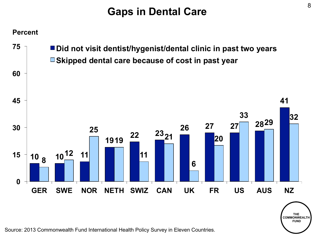### **Gaps in Dental Care**



Source: 2013 Commonwealth Fund International Health Policy Survey in Eleven Countries.

**THE COMMONWEALTH FUND**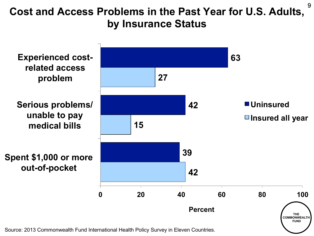### Cost and Access Problems in the Past Year for U.S. Adults, <sup>9</sup> **by Insurance Status**



Source: 2013 Commonwealth Fund International Health Policy Survey in Eleven Countries.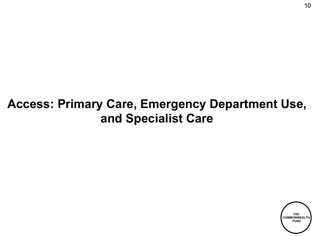## **Access: Primary Care, Emergency Department Use, and Specialist Care**

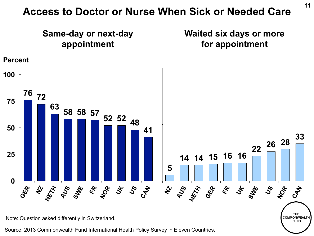#### **Access to Doctor or Nurse When Sick or Needed Care**



Source: 2013 Commonwealth Fund International Health Policy Survey in Eleven Countries.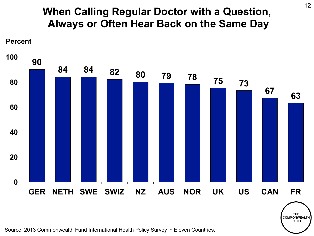#### **When Calling Regular Doctor with a Question, Always or Often Hear Back on the Same Day**



Source: 2013 Commonwealth Fund International Health Policy Survey in Eleven Countries.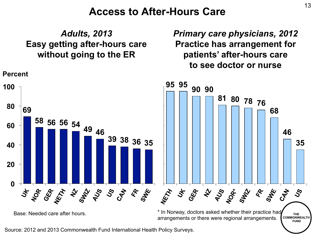#### **Access to After-Hours Care**

*Adults, 2013*  **Easy getting after-hours care without going to the ER** 

*Primary care physicians, 2012*  **Practice has arrangement for patients' after-hours care to see doctor or nurse** 



Source: 2012 and 2013 Commonwealth Fund International Health Policy Surveys.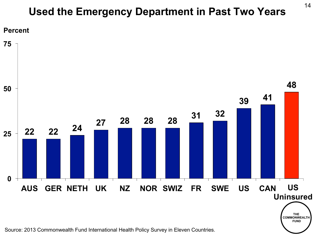#### **Used the Emergency Department in Past Two Years**



Source: 2013 Commonwealth Fund International Health Policy Survey in Eleven Countries.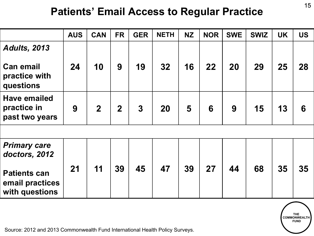#### **Patients' Email Access to Regular Practice**

|                                                          | <b>AUS</b> | <b>CAN</b>     | <b>FR</b>      | <b>GER</b>     | <b>NETH</b> | <b>NZ</b> | <b>NOR</b> | <b>SWE</b> | <b>SWIZ</b> | <b>UK</b> | <b>US</b> |
|----------------------------------------------------------|------------|----------------|----------------|----------------|-------------|-----------|------------|------------|-------------|-----------|-----------|
| <b>Adults, 2013</b>                                      |            |                |                |                |             |           |            |            |             |           |           |
| <b>Can email</b><br>practice with<br>questions           | 24         | 10             | 9              | 19             | 32          | 16        | 22         | 20         | 29          | 25        | 28        |
| <b>Have emailed</b><br>practice in<br>past two years     | 9          | $\overline{2}$ | $\overline{2}$ | $\overline{3}$ | 20          | 5         | 6          | 9          | 15          | 13        | 6         |
|                                                          |            |                |                |                |             |           |            |            |             |           |           |
| <b>Primary care</b><br>doctors, 2012                     |            |                |                |                |             |           |            |            |             |           |           |
| <b>Patients can</b><br>email practices<br>with questions | 21         | 11             | 39             | 45             | 47          | 39        | 27         | 44         | 68          | 35        | 35        |

Source: 2012 and 2013 Commonwealth Fund International Health Policy Surveys.

**THE COMMONWEALTH FUND**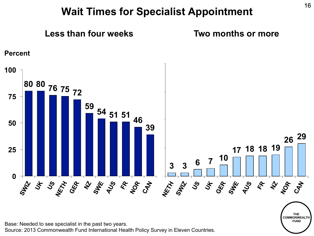#### **Wait Times for Specialist Appointment**



Base: Needed to see specialist in the past two years.

Source: 2013 Commonwealth Fund International Health Policy Survey in Eleven Countries.

**THE COMMONWEALTH FUND**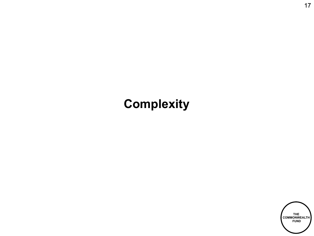# **Complexity**

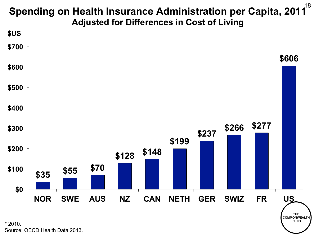#### **Spending on Health Insurance Administration per Capita, 2011 Adjusted for Differences in Cost of Living** 18



Source: OECD Health Data 2013.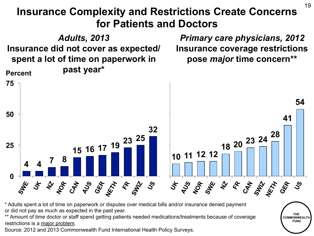#### **Insurance Complexity and Restrictions Create Concerns for Patients and Doctors**



\* Adults spent a lot of time on paperwork or disputes over medical bills and/or insurance denied payment or did not pay as much as expected in the past year.

\*\* Amount of time doctor or staff spend getting patients needed medications/treatments because of coverage restrictions is a major problem.

Source: 2012 and 2013 Commonwealth Fund International Health Policy Surveys.

**THE COMMONWEALT FUND** 

19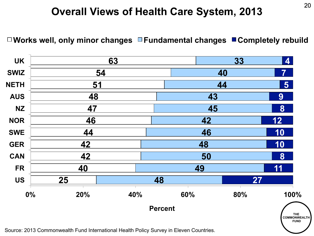# <sup>20</sup>**Overall Views of Health Care System, 2013**

**□ Works well, only minor changes □ Fundamental changes ■ Completely rebuild** 

| <b>UK</b>   |           | 63  |                | 33<br>$\overline{\mathbf{4}}$ |     |                          |  |
|-------------|-----------|-----|----------------|-------------------------------|-----|--------------------------|--|
| <b>SWIZ</b> |           | 54  |                | 40                            |     | $\overline{\mathcal{I}}$ |  |
| <b>NETH</b> | <u>51</u> |     |                | 44                            |     | 5 <sup>1</sup>           |  |
| <b>AUS</b>  | 48        |     |                | 43                            |     | 9                        |  |
| <b>NZ</b>   | 47        |     |                | 45                            |     | 8                        |  |
| <b>NOR</b>  | 46        |     |                | 42                            |     | 12                       |  |
| <b>SWE</b>  | 44        |     |                | 46                            |     | 10                       |  |
| <b>GER</b>  | 42        |     |                | 48                            |     | 10                       |  |
| <b>CAN</b>  | 42        |     |                | 50                            |     | 8                        |  |
| <b>FR</b>   | 40        |     |                | 49                            |     | 11                       |  |
| <b>US</b>   | 25        |     | 48             |                               | 27  |                          |  |
| 0%          | 20%       | 40% |                | 60%                           | 80% | 100%                     |  |
|             |           |     | <b>Percent</b> |                               |     | THE<br>COMMONWEALTH      |  |

Source: 2013 Commonwealth Fund International Health Policy Survey in Eleven Countries.

 **FUND**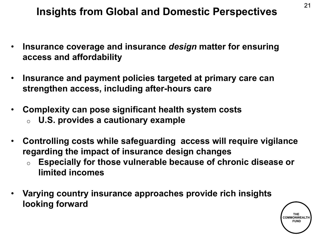# <sup>21</sup>**Insights from Global and Domestic Perspectives**

- **Insurance coverage and insurance** *design* **matter for ensuring access and affordability**
- **Insurance and payment policies targeted at primary care can strengthen access, including after-hours care**
- **Complexity can pose significant health system costs**  o **U.S. provides a cautionary example**
- **Controlling costs while safeguarding access will require vigilance regarding the impact of insurance design changes** 
	- o **Especially for those vulnerable because of chronic disease or limited incomes**
- **Varying country insurance approaches provide rich insights looking forward**

**THE COMMONWEAL FUND**